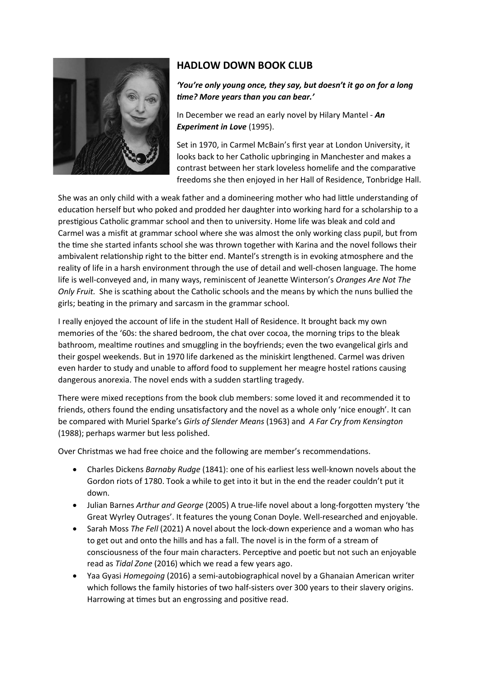

## HADLOW DOWN BOOK CLUB

## 'You're only young once, they say, but doesn't it go on for a long time? More years than you can bear.'

In December we read an early novel by Hilary Mantel - An Experiment in Love (1995).

Set in 1970, in Carmel McBain's first year at London University, it looks back to her Catholic upbringing in Manchester and makes a contrast between her stark loveless homelife and the comparative freedoms she then enjoyed in her Hall of Residence, Tonbridge Hall.

She was an only child with a weak father and a domineering mother who had little understanding of education herself but who poked and prodded her daughter into working hard for a scholarship to a presƟgious Catholic grammar school and then to university. Home life was bleak and cold and Carmel was a misfit at grammar school where she was almost the only working class pupil, but from the time she started infants school she was thrown together with Karina and the novel follows their ambivalent relationship right to the bitter end. Mantel's strength is in evoking atmosphere and the reality of life in a harsh environment through the use of detail and well-chosen language. The home life is well-conveyed and, in many ways, reminiscent of Jeanette Winterson's Oranges Are Not The Only Fruit. She is scathing about the Catholic schools and the means by which the nuns bullied the girls; beating in the primary and sarcasm in the grammar school.

I really enjoyed the account of life in the student Hall of Residence. It brought back my own memories of the '60s: the shared bedroom, the chat over cocoa, the morning trips to the bleak bathroom, mealtime routines and smuggling in the boyfriends; even the two evangelical girls and their gospel weekends. But in 1970 life darkened as the miniskirt lengthened. Carmel was driven even harder to study and unable to afford food to supplement her meagre hostel rations causing dangerous anorexia. The novel ends with a sudden startling tragedy.

There were mixed receptions from the book club members: some loved it and recommended it to friends, others found the ending unsatisfactory and the novel as a whole only 'nice enough'. It can be compared with Muriel Sparke's Girls of Slender Means (1963) and A Far Cry from Kensington (1988); perhaps warmer but less polished.

Over Christmas we had free choice and the following are member's recommendations.

- Charles Dickens Barnaby Rudge (1841): one of his earliest less well-known novels about the Gordon riots of 1780. Took a while to get into it but in the end the reader couldn't put it down.
- Julian Barnes Arthur and George (2005) A true-life novel about a long-forgotten mystery 'the Great Wyrley Outrages'. It features the young Conan Doyle. Well-researched and enjoyable.
- Sarah Moss The Fell (2021) A novel about the lock-down experience and a woman who has to get out and onto the hills and has a fall. The novel is in the form of a stream of consciousness of the four main characters. Perceptive and poetic but not such an enjoyable read as Tidal Zone (2016) which we read a few years ago.
- Yaa Gyasi Homegoing (2016) a semi-autobiographical novel by a Ghanaian American writer which follows the family histories of two half-sisters over 300 years to their slavery origins. Harrowing at times but an engrossing and positive read.